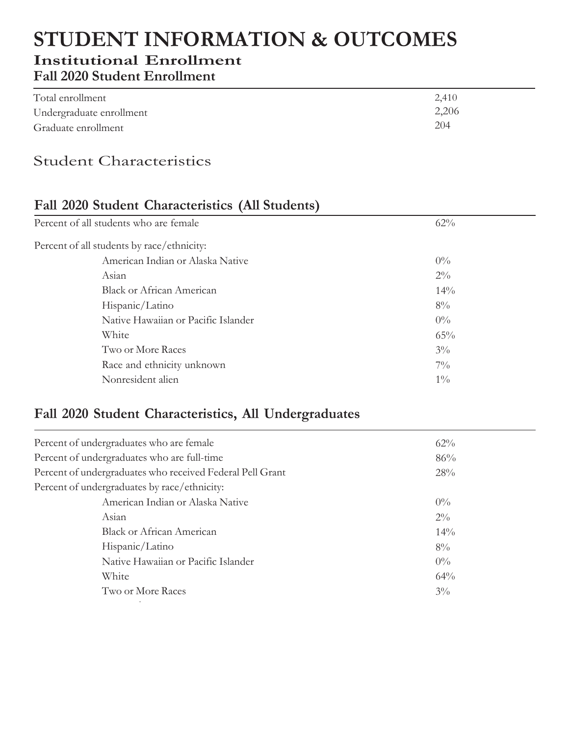# **STUDENT INFORMATION & OUTCOMES Institutional Enrollment Fall 2020 Student Enrollment**

| Total enrollment         | 2,410 |
|--------------------------|-------|
| Undergraduate enrollment | 2,206 |
| Graduate enrollment      | 204   |

# Student Characteristics

## **Fall 2020 Student Characteristics (All Students)**

| Percent of all students who are female     | 62%    |
|--------------------------------------------|--------|
| Percent of all students by race/ethnicity: |        |
| American Indian or Alaska Native           | $0\%$  |
| Asian                                      | $2\%$  |
| <b>Black or African American</b>           | $14\%$ |
| Hispanic/Latino                            | $8\%$  |
| Native Hawaiian or Pacific Islander        | $0\%$  |
| White                                      | 65%    |
| Two or More Races                          | $3\%$  |
| Race and ethnicity unknown                 | $7\%$  |
| Nonresident alien                          | $1\%$  |

#### **Fall 2020 Student Characteristics, All Undergraduates**

de la construcción de la construcción de la construcción de la construcción de la construcción de la construcc

| Percent of undergraduates who are female                  | 62%   |
|-----------------------------------------------------------|-------|
| Percent of undergraduates who are full-time               | 86%   |
| Percent of undergraduates who received Federal Pell Grant | 28%   |
| Percent of undergraduates by race/ethnicity:              |       |
| American Indian or Alaska Native                          | $0\%$ |
| Asian                                                     | $2\%$ |
| <b>Black or African American</b>                          | 14%   |
| Hispanic/Latino                                           | $8\%$ |
| Native Hawaiian or Pacific Islander                       | $0\%$ |
| White                                                     | 64%   |
| Two or More Races                                         | $3\%$ |
|                                                           |       |